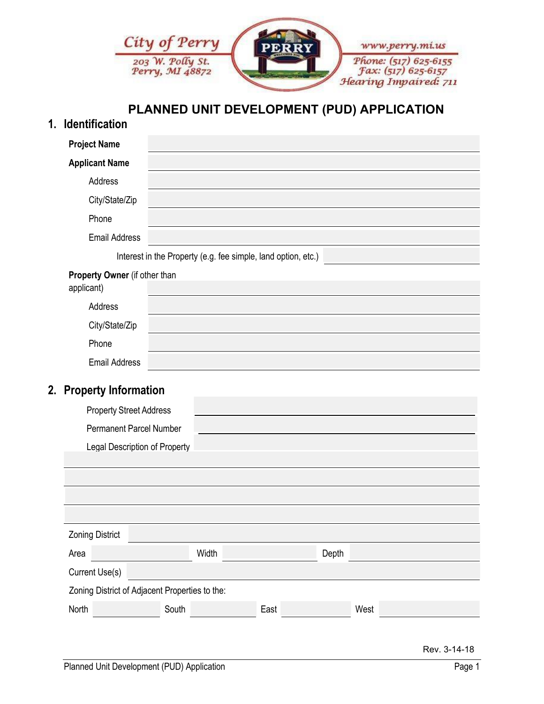

## **PLANNED UNIT DEVELOPMENT (PUD) APPLICATION**

## **1. Identification**

| <b>Project Name</b>                            |       |                                                               |      |       |      |
|------------------------------------------------|-------|---------------------------------------------------------------|------|-------|------|
| <b>Applicant Name</b>                          |       |                                                               |      |       |      |
| Address                                        |       |                                                               |      |       |      |
| City/State/Zip                                 |       |                                                               |      |       |      |
| Phone                                          |       |                                                               |      |       |      |
| <b>Email Address</b>                           |       |                                                               |      |       |      |
|                                                |       | Interest in the Property (e.g. fee simple, land option, etc.) |      |       |      |
| Property Owner (if other than<br>applicant)    |       |                                                               |      |       |      |
| Address                                        |       |                                                               |      |       |      |
| City/State/Zip                                 |       |                                                               |      |       |      |
| Phone                                          |       |                                                               |      |       |      |
| <b>Email Address</b>                           |       |                                                               |      |       |      |
| 2. Property Information                        |       |                                                               |      |       |      |
| <b>Property Street Address</b>                 |       |                                                               |      |       |      |
| <b>Permanent Parcel Number</b>                 |       |                                                               |      |       |      |
| Legal Description of Property                  |       |                                                               |      |       |      |
|                                                |       |                                                               |      |       |      |
|                                                |       |                                                               |      |       |      |
|                                                |       |                                                               |      |       |      |
| <b>Zoning District</b>                         |       |                                                               |      |       |      |
| Area                                           |       | Width                                                         |      | Depth |      |
| Current Use(s)                                 |       |                                                               |      |       |      |
| Zoning District of Adjacent Properties to the: |       |                                                               |      |       |      |
| North                                          | South |                                                               | East |       | West |
|                                                |       |                                                               |      |       |      |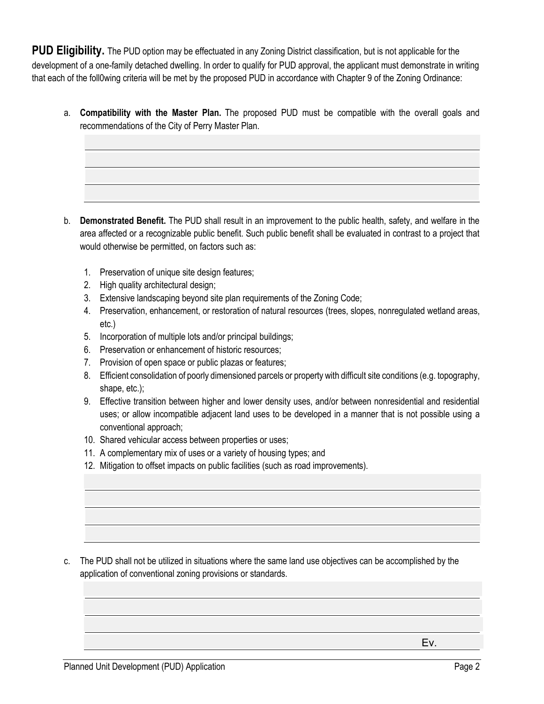**PUD Eligibility.** The PUD option may be effectuated in any Zoning District classification, but is not applicable for the development of a one-family detached dwelling. In order to qualify for PUD approval, the applicant must demonstrate in writing that each of the foll0wing criteria will be met by the proposed PUD in accordance with Chapter 9 of the Zoning Ordinance:

a. **Compatibility with the Master Plan.** The proposed PUD must be compatible with the overall goals and recommendations of the City of Perry Master Plan.

- b. **Demonstrated Benefit.** The PUD shall result in an improvement to the public health, safety, and welfare in the area affected or a recognizable public benefit. Such public benefit shall be evaluated in contrast to a project that would otherwise be permitted, on factors such as:
	- 1. Preservation of unique site design features;
	- 2. High quality architectural design;
	- 3. Extensive landscaping beyond site plan requirements of the Zoning Code;
	- 4. Preservation, enhancement, or restoration of natural resources (trees, slopes, nonregulated wetland areas, etc.)
	- 5. Incorporation of multiple lots and/or principal buildings;
	- 6. Preservation or enhancement of historic resources;
	- 7. Provision of open space or public plazas or features;
	- 8. Efficient consolidation of poorly dimensioned parcels or property with difficult site conditions (e.g. topography, shape, etc.);
	- 9. Effective transition between higher and lower density uses, and/or between nonresidential and residential uses; or allow incompatible adjacent land uses to be developed in a manner that is not possible using a conventional approach;
	- 10. Shared vehicular access between properties or uses;
	- 11. A complementary mix of uses or a variety of housing types; and
	- 12. Mitigation to offset impacts on public facilities (such as road improvements).

c. The PUD shall not be utilized in situations where the same land use objectives can be accomplished by the application of conventional zoning provisions or standards.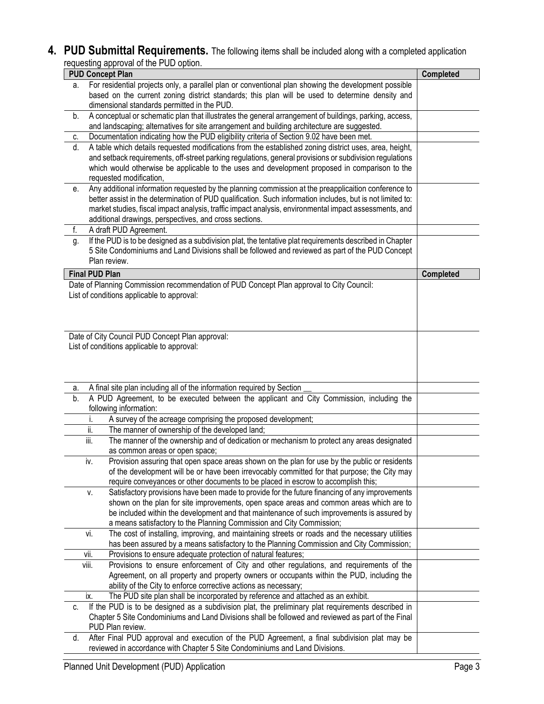**4. PUD Submittal Requirements.** The following items shall be included along with a completed application requesting approval of the PUD option.

|                                                                                                            |                       | oquoomig approvar or tho r ob option.<br><b>PUD Concept Plan</b>                                                 | <b>Completed</b> |  |  |
|------------------------------------------------------------------------------------------------------------|-----------------------|------------------------------------------------------------------------------------------------------------------|------------------|--|--|
| For residential projects only, a parallel plan or conventional plan showing the development possible<br>а. |                       |                                                                                                                  |                  |  |  |
|                                                                                                            |                       | based on the current zoning district standards; this plan will be used to determine density and                  |                  |  |  |
|                                                                                                            |                       | dimensional standards permitted in the PUD.                                                                      |                  |  |  |
| b.                                                                                                         |                       | A conceptual or schematic plan that illustrates the general arrangement of buildings, parking, access,           |                  |  |  |
|                                                                                                            |                       | and landscaping; alternatives for site arrangement and building architecture are suggested.                      |                  |  |  |
| C.                                                                                                         |                       | Documentation indicating how the PUD eligibility criteria of Section 9.02 have been met.                         |                  |  |  |
| d.                                                                                                         |                       | A table which details requested modifications from the established zoning district uses, area, height,           |                  |  |  |
|                                                                                                            |                       | and setback requirements, off-street parking regulations, general provisions or subdivision regulations          |                  |  |  |
|                                                                                                            |                       | which would otherwise be applicable to the uses and development proposed in comparison to the                    |                  |  |  |
|                                                                                                            |                       | requested modification,                                                                                          |                  |  |  |
| е.                                                                                                         |                       | Any additional information requested by the planning commission at the preapplicaition conference to             |                  |  |  |
|                                                                                                            |                       | better assist in the determination of PUD qualification. Such information includes, but is not limited to:       |                  |  |  |
|                                                                                                            |                       | market studies, fiscal impact analysis, traffic impact analysis, environmental impact assessments, and           |                  |  |  |
|                                                                                                            |                       | additional drawings, perspectives, and cross sections.                                                           |                  |  |  |
| f.                                                                                                         |                       | A draft PUD Agreement.                                                                                           |                  |  |  |
| g.                                                                                                         |                       | If the PUD is to be designed as a subdivision plat, the tentative plat requirements described in Chapter         |                  |  |  |
|                                                                                                            |                       | 5 Site Condominiums and Land Divisions shall be followed and reviewed as part of the PUD Concept                 |                  |  |  |
|                                                                                                            |                       | Plan review.                                                                                                     |                  |  |  |
|                                                                                                            | <b>Final PUD Plan</b> |                                                                                                                  | Completed        |  |  |
|                                                                                                            |                       | Date of Planning Commission recommendation of PUD Concept Plan approval to City Council:                         |                  |  |  |
|                                                                                                            |                       | List of conditions applicable to approval:                                                                       |                  |  |  |
|                                                                                                            |                       |                                                                                                                  |                  |  |  |
|                                                                                                            |                       |                                                                                                                  |                  |  |  |
|                                                                                                            |                       |                                                                                                                  |                  |  |  |
|                                                                                                            |                       | Date of City Council PUD Concept Plan approval:                                                                  |                  |  |  |
|                                                                                                            |                       | List of conditions applicable to approval:                                                                       |                  |  |  |
|                                                                                                            |                       |                                                                                                                  |                  |  |  |
|                                                                                                            |                       |                                                                                                                  |                  |  |  |
|                                                                                                            |                       |                                                                                                                  |                  |  |  |
| а.                                                                                                         |                       | A final site plan including all of the information required by Section                                           |                  |  |  |
| b.                                                                                                         |                       | A PUD Agreement, to be executed between the applicant and City Commission, including the                         |                  |  |  |
|                                                                                                            |                       | following information:                                                                                           |                  |  |  |
|                                                                                                            |                       | A survey of the acreage comprising the proposed development;                                                     |                  |  |  |
|                                                                                                            | ii.                   | The manner of ownership of the developed land;                                                                   |                  |  |  |
|                                                                                                            | iii.                  | The manner of the ownership and of dedication or mechanism to protect any areas designated                       |                  |  |  |
|                                                                                                            |                       | as common areas or open space;                                                                                   |                  |  |  |
|                                                                                                            | İV.                   | Provision assuring that open space areas shown on the plan for use by the public or residents                    |                  |  |  |
|                                                                                                            |                       |                                                                                                                  |                  |  |  |
|                                                                                                            |                       | of the development will be or have been irrevocably committed for that purpose; the City may                     |                  |  |  |
|                                                                                                            |                       | require conveyances or other documents to be placed in escrow to accomplish this;                                |                  |  |  |
|                                                                                                            | ۷.                    | Satisfactory provisions have been made to provide for the future financing of any improvements                   |                  |  |  |
|                                                                                                            |                       | shown on the plan for site improvements, open space areas and common areas which are to                          |                  |  |  |
|                                                                                                            |                       | be included within the development and that maintenance of such improvements is assured by                       |                  |  |  |
|                                                                                                            |                       | a means satisfactory to the Planning Commission and City Commission;                                             |                  |  |  |
|                                                                                                            | vi.                   | The cost of installing, improving, and maintaining streets or roads and the necessary utilities                  |                  |  |  |
|                                                                                                            |                       |                                                                                                                  |                  |  |  |
|                                                                                                            | Vİİ.                  | has been assured by a means satisfactory to the Planning Commission and City Commission;                         |                  |  |  |
|                                                                                                            | VIII.                 | Provisions to ensure adequate protection of natural features;                                                    |                  |  |  |
|                                                                                                            |                       | Provisions to ensure enforcement of City and other regulations, and requirements of the                          |                  |  |  |
|                                                                                                            |                       | Agreement, on all property and property owners or occupants within the PUD, including the                        |                  |  |  |
|                                                                                                            |                       | ability of the City to enforce corrective actions as necessary;                                                  |                  |  |  |
|                                                                                                            | ix.                   | The PUD site plan shall be incorporated by reference and attached as an exhibit.                                 |                  |  |  |
| C.                                                                                                         |                       |                                                                                                                  |                  |  |  |
|                                                                                                            |                       | If the PUD is to be designed as a subdivision plat, the preliminary plat requirements described in               |                  |  |  |
|                                                                                                            |                       | Chapter 5 Site Condominiums and Land Divisions shall be followed and reviewed as part of the Final               |                  |  |  |
| d.                                                                                                         |                       | PUD Plan review.<br>After Final PUD approval and execution of the PUD Agreement, a final subdivision plat may be |                  |  |  |